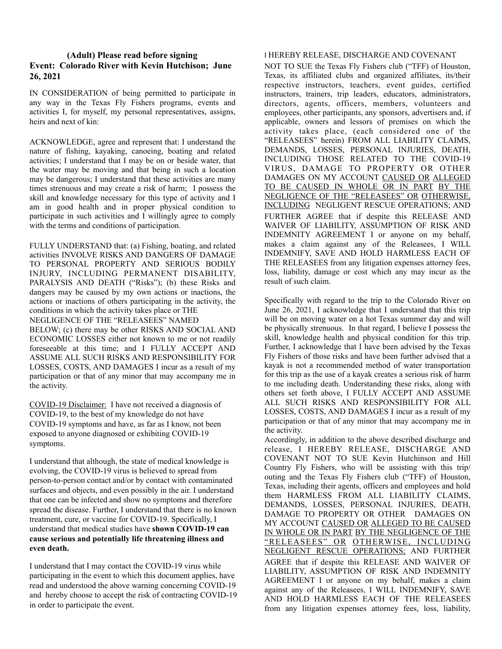## **(Adult) Please read before signing Event: Colorado River with Kevin Hutchison; June 26, 2021**

IN CONSIDERATION of being permitted to participate in any way in the Texas Fly Fishers programs, events and activities I, for myself, my personal representatives, assigns, heirs and next of kin:

ACKNOWLEDGE, agree and represent that: I understand the nature of fishing, kayaking, canoeing, boating and related activities; I understand that I may be on or beside water, that the water may be moving and that being in such a location may be dangerous; I understand that these activities are many times strenuous and may create a risk of harm; I possess the skill and knowledge necessary for this type of activity and I am in good health and in proper physical condition to participate in such activities and I willingly agree to comply with the terms and conditions of participation.

FULLY UNDERSTAND that: (a) Fishing, boating, and related activities INVOLVE RISKS AND DANGERS OF DAMAGE TO PERSONAL PROPERTY AND SERIOUS BODILY INJURY, INCLUDING PERMANENT DISABILITY, PARALYSIS AND DEATH ("Risks"); (b) these Risks and dangers may be caused by my own actions or inactions, the actions or inactions of others participating in the activity, the conditions in which the activity takes place or THE NEGLIGENCE OF THE "RELEASEES" NAMED BELOW; (c) there may be other RISKS AND SOCIAL AND ECONOMIC LOSSES either not known to me or not readily

foreseeable at this time; and I FULLY ACCEPT AND ASSUME ALL SUCH RISKS AND RESPONSIBILITY FOR LOSSES, COSTS, AND DAMAGES I incur as a result of my participation or that of any minor that may accompany me in the activity.

COVID-19 Disclaimer: I have not received a diagnosis of COVID-19, to the best of my knowledge do not have COVID-19 symptoms and have, as far as I know, not been exposed to anyone diagnosed or exhibiting COVID-19 symptoms.

I understand that although, the state of medical knowledge is evolving, the COVID-19 virus is believed to spread from person-to-person contact and/or by contact with contaminated surfaces and objects, and even possibly in the air. I understand that one can be infected and show no symptoms and therefore spread the disease. Further, I understand that there is no known treatment, cure, or vaccine for COVID-19. Specifically, I understand that medical studies have **shown COVID-19 can cause serious and potentially life threatening illness and even death.**

I understand that I may contact the COVID-19 virus while participating in the event to which this document applies, have read and understood the above warning concerning COVID-19 and hereby choose to accept the risk of contracting COVID-19 in order to participate the event.

## I HEREBY RELEASE, DISCHARGE AND COVENANT

NOT TO SUE the Texas Fly Fishers club ("TFF) of Houston, Texas, its affiliated clubs and organized affiliates, its/their respective instructors, teachers, event guides, certified instructors, trainers, trip leaders, educators, administrators, directors, agents, officers, members, volunteers and employees, other participants, any sponsors, advertisers and, if applicable, owners and lessors of premises on which the activity takes place, (each considered one of the "RELEASEES" herein) FROM ALL LIABILITY CLAIMS, DEMANDS, LOSSES, PERSONAL INJURIES, DEATH, INCLUDING THOSE RELATED TO THE COVID-19 VIRUS, DAMAGE TO PROPERTY OR OTHER DAMAGES ON MY ACCOUNT CAUSED OR ALLEGED TO BE CAUSED IN WHOLE OR IN PART BY THE NEGLIGENCE OF THE "RELEASEES" OR OTHERWISE, INCLUDING NEGLIGENT RESCUE OPERATIONS; AND FURTHER AGREE that if despite this RELEASE AND WAIVER OF LIABILITY, ASSUMPTION OF RISK AND INDEMNITY AGREEMENT I or anyone on my behalf, makes a claim against any of the Releasees, I WILL INDEMNIFY, SAVE AND HOLD HARMLESS EACH OF THE RELEASEES from any litigation expenses attorney fees, loss, liability, damage or cost which any may incur as the result of such claim.

Specifically with regard to the trip to the Colorado River on June 26, 2021, I acknowledge that I understand that this trip will be on moving water on a hot Texas summer day and will be physically strenuous. In that regard, I believe I possess the skill, knowledge health and physical condition for this trip. Further, I acknowledge that I have been advised by the Texas Fly Fishers of those risks and have been further advised that a kayak is not a recommended method of water transportation for this trip as the use of a kayak creates a serious risk of harm to me including death. Understanding these risks, along with others set forth above, I FULLY ACCEPT AND ASSUME ALL SUCH RISKS AND RESPONSIBILITY FOR ALL LOSSES, COSTS, AND DAMAGES I incur as a result of my participation or that of any minor that may accompany me in the activity.

Accordingly, in addition to the above described discharge and release, I HEREBY RELEASE, DISCHARGE AND COVENANT NOT TO SUE Kevin Hutchinson and Hill Country Fly Fishers, who will be assisting with this trip/ outing and the Texas Fly Fishers club ("TFF) of Houston, Texas, including their agents, officers and employees and hold them HARMLESS FROM ALL LIABILITY CLAIMS, DEMANDS, LOSSES, PERSONAL INJURIES, DEATH, DAMAGE TO PROPERTY OR OTHER DAMAGES ON MY ACCOUNT CAUSED OR ALLEGED TO BE CAUSED IN WHOLE OR IN PART BY THE NEGLIGENCE OF THE "RELEASEES" OR OTHERWISE, INCLUDING NEGLIGENT RESCUE OPERATIONS; AND FURTHER AGREE that if despite this RELEASE AND WAIVER OF LIABILITY, ASSUMPTION OF RISK AND INDEMNITY AGREEMENT I or anyone on my behalf, makes a claim against any of the Releasees, I WILL INDEMNIFY, SAVE AND HOLD HARMLESS EACH OF THE RELEASEES from any litigation expenses attorney fees, loss, liability,